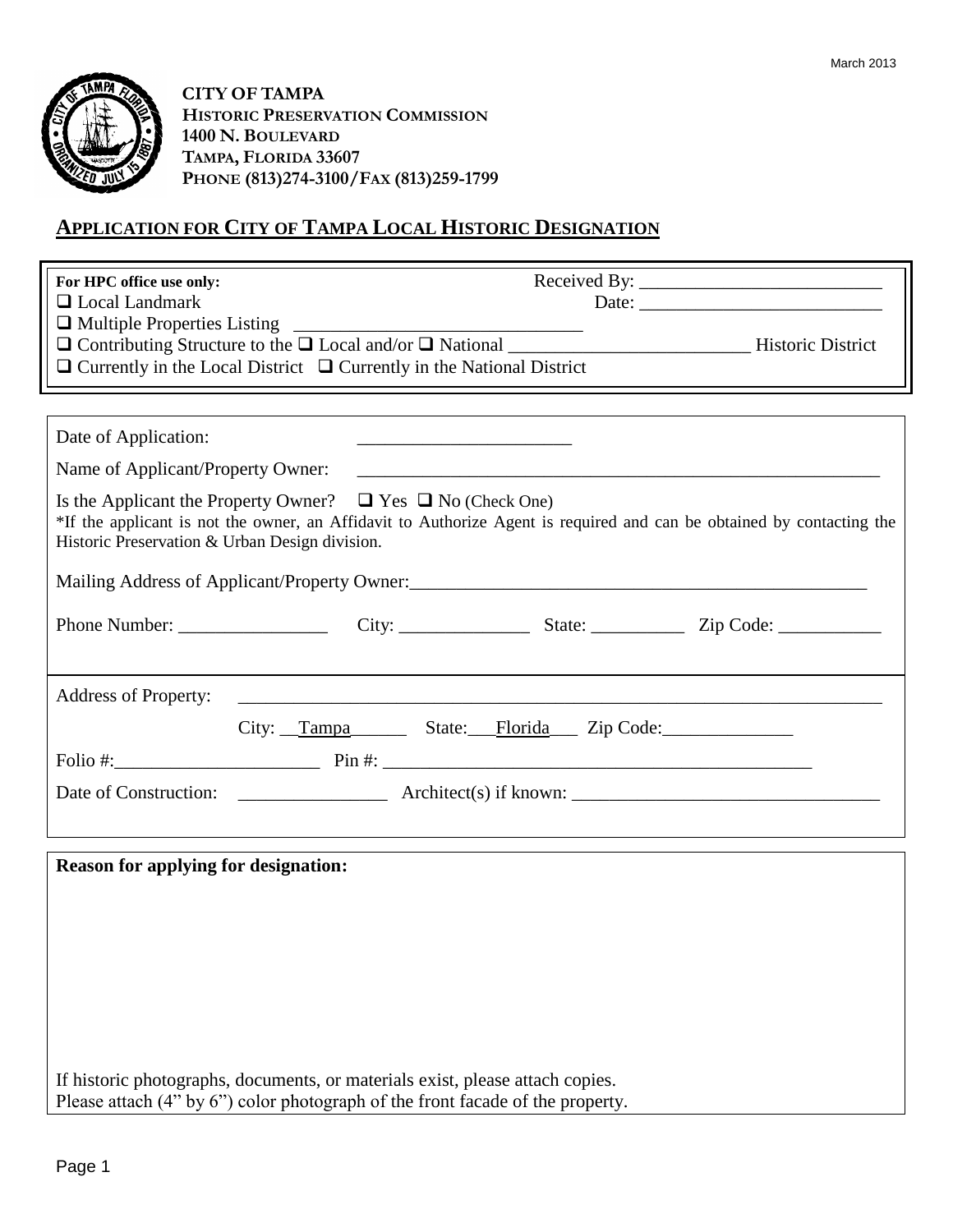

**CITY OF TAMPA HISTORIC PRESERVATION COMMISSION 1400 N. BOULEVARD TAMPA, FLORIDA 33607 PHONE (813)274-3100/FAX (813)259-1799**

## **APPLICATION FOR CITY OF TAMPA LOCAL HISTORIC DESIGNATION**

| For HPC office use only:<br>$\Box$ Local Landmark<br>$\Box$ Currently in the Local District $\Box$ Currently in the National District | Date: $\frac{1}{\sqrt{1-\frac{1}{2}} \cdot \frac{1}{2}}$                                                              |
|---------------------------------------------------------------------------------------------------------------------------------------|-----------------------------------------------------------------------------------------------------------------------|
|                                                                                                                                       |                                                                                                                       |
| Date of Application:                                                                                                                  | <u> 2002 - John Stone, Amerikaans en Stone (</u>                                                                      |
| Name of Applicant/Property Owner:                                                                                                     |                                                                                                                       |
| Is the Applicant the Property Owner? $\Box$ Yes $\Box$ No (Check One)<br>Historic Preservation & Urban Design division.               | *If the applicant is not the owner, an Affidavit to Authorize Agent is required and can be obtained by contacting the |
| Mailing Address of Applicant/Property Owner:                                                                                          |                                                                                                                       |
|                                                                                                                                       |                                                                                                                       |
| <b>Address of Property:</b>                                                                                                           | <u> 1989 - Johann Barbara, margaret eta idazlea (h. 1989).</u>                                                        |
|                                                                                                                                       | City: Tampa State: Florida Zip Code:                                                                                  |
|                                                                                                                                       |                                                                                                                       |
|                                                                                                                                       |                                                                                                                       |
| <b>Reason for applying for designation:</b>                                                                                           |                                                                                                                       |

If historic photographs, documents, or materials exist, please attach copies. Please attach (4" by 6") color photograph of the front facade of the property.